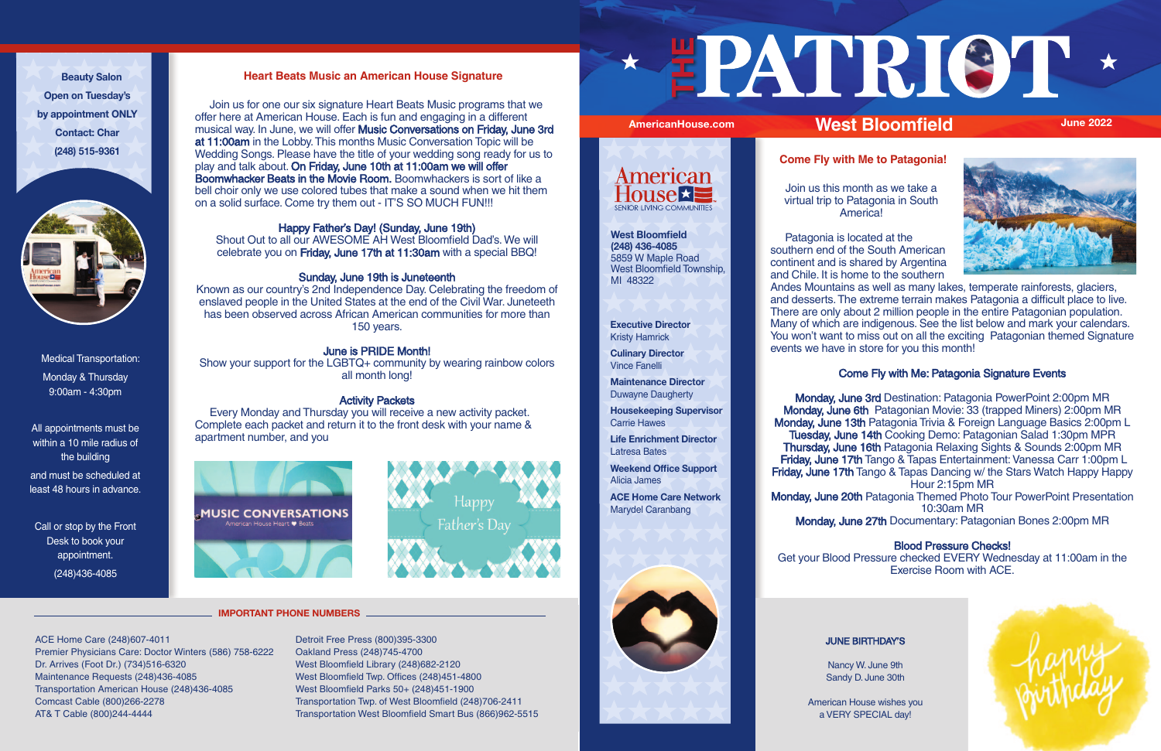Join us for one our six signature Heart Beats Music programs that we offer here at American House. Each is fun and engaging in a different musical way. In June, we will offer Music Conversations on Friday, June 3rd at 11:00am in the Lobby. This months Music Conversation Topic will be Wedding Songs. Please have the title of your wedding song ready for us to play and talk about. On Friday, June 10th at 11:00am we will offer Boomwhacker Beats in the Movie Room. Boomwhackers is sort of like a bell choir only we use colored tubes that make a sound when we hit them on a solid surface. Come try them out - IT'S SO MUCH FUN!!!

## **Heart Beats Music an American House Signature**

## Happy Father's Day! (Sunday, June 19th)

Shout Out to all our AWESOME AH West Bloomfield Dad's. We will celebrate you on Friday, June 17th at 11:30am with a special BBQ!

# Sunday, June 19th is Juneteenth

Known as our country's 2nd Independence Day. Celebrating the freedom of enslaved people in the United States at the end of the Civil War. Juneteeth has been observed across African American communities for more than 150 years.

# June is PRIDE Month!

Show your support for the LGBTQ+ community by wearing rainbow colors all month long!

## Activity Packets

Monday, June 3rd Destination: Patagonia PowerPoint 2:00pm MR Monday, June 6th Patagonian Movie: 33 (trapped Miners) 2:00pm MR Monday, June 13th Patagonia Trivia & Foreign Language Basics 2:00pm L Tuesday, June 14th Cooking Demo: Patagonian Salad 1:30pm MPR Thursday, June 16th Patagonia Relaxing Sights & Sounds 2:00pm MR Friday, June 17th Tango & Tapas Entertainment: Vanessa Carr 1:00pm L Friday, June 17th Tango & Tapas Dancing w/ the Stars Watch Happy Happy Hour 2:15pm MR

 Every Monday and Thursday you will receive a new activity packet. Complete each packet and return it to the front desk with your name & apartment number, and you





# **Come Fly with Me to Patagonia!**

Join us this month as we take a virtual trip to Patagonia in South America!

 Patagonia is located at the southern end of the South American continent and is shared by Argentina and Chile. It is home to the southern Andes Mountains as well as many lakes, temperate rainforests, glaciers, and desserts. The extreme terrain makes Patagonia a difficult place to live. There are only about 2 million people in the entire Patagonian population. Many of which are indigenous. See the list below and mark your calendars. You won't want to miss out on all the exciting Patagonian themed Signature events we have in store for you this month!

# Come Fly with Me: Patagonia Signature Events

Monday, June 20th Patagonia Themed Photo Tour PowerPoint Presentation

10:30am MR

Monday, June 27th Documentary: Patagonian Bones 2:00pm MR

## Blood Pressure Checks!

Get your Blood Pressure checked EVERY Wednesday at 11:00am in the Exercise Room with ACE.

**Executive Director** Kristy Hamrick

**Culinary Director** Vince Fanelli

**Maintenance Director** Duwayne Daugherty

**Housekeeping Supervisor** Carrie Hawes

**Life Enrichment Director** Latresa Bates

**Weekend Office Support** Alicia James

**ACE Home Care Network** Marydel Caranbang



Medical Transportation: Monday & Thursday 9:00am - 4:30pm

All appointments must be within a 10 mile radius of the building and must be scheduled at least 48 hours in advance.

Call or stop by the Front Desk to book your appointment. (248)436-4085

**Beauty Salon Open on Tuesday's by appointment ONLY Contact: Char (248) 515-9361**



#### JUNE BIRTHDAY'S

Nancy W. June 9th Sandy D. June 30th

American House wishes you a VERY SPECIAL day!



ACE Home Care (248)607-4011 Premier Physicians Care: Doctor Winters (586) 758-6222 Dr. Arrives (Foot Dr.) (734)516-6320 Maintenance Requests (248)436-4085 Transportation American House (248)436-4085 Comcast Cable (800)266-2278 AT& T Cable (800)244-4444

Detroit Free Press (800)395-3300 Oakland Press (248)745-4700 West Bloomfield Library (248)682-2120 West Bloomfield Twp. Offices (248)451-4800 West Bloomfield Parks 50+ (248)451-1900 Transportation Twp. of West Bloomfield (248)706-2411 Transportation West Bloomfield Smart Bus (866)962-5515

# **THE**



#### **IMPORTANT PHONE NUMBERS**





**West Bloomfield (248) 436-4085** 5859 W Maple Road West Bloomfield Township, MI 48322